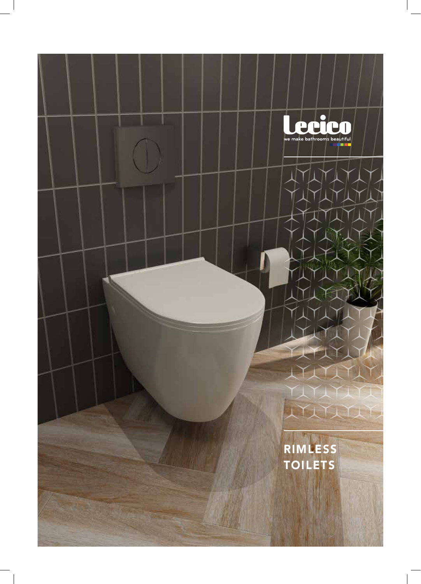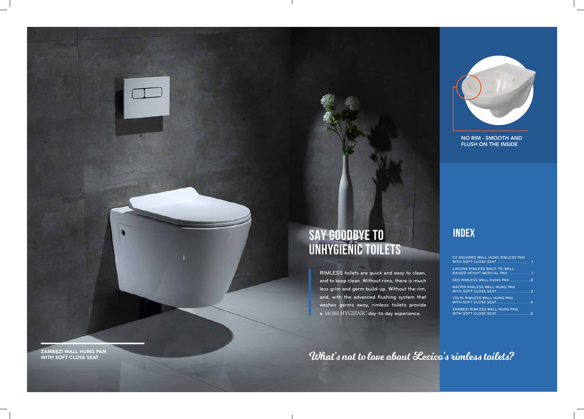| <b>C2 SQUARED WALL HUNG RIMLESS PAN</b>                             |  |
|---------------------------------------------------------------------|--|
| <b>LAGUNA RIMLESS BACK-TO-WALL</b><br>RAISED HEIGHT MEDICAL PAN 1   |  |
| GEO RIMLESS WALL-HUNG PAN 2                                         |  |
| <b>MATRIX RIMLESS WALL-HUNG PAN</b><br><b>WITH SOFT CLOSE SEAT3</b> |  |
| <b>VOLTA RIMLESS WALL-HUNG PAN</b><br><b>WITH SOFT CLOSE SEAT 4</b> |  |
| ZAMBEZI RIMLESS WALL-HUNG PAN                                       |  |

# **INDEX SAY GOODBYE TO UNHYGIENIC TOILETS**

RIMLESS toilets are quick and easy to clean, and to keep clean. Without rims, there is much less grim and germ build-up. Without the rim, and, with the advanced flushing system that washes germs away, rimless toilets provide a MORE HYGIENIC day-to-day experience.

What's not to love about Lecico's rimless toilets?

**ZAMBEZI WALL HUNG PAN<br>WITH SOFT CLOSE SEAT** 



NO RIM - SMOOTH AND FLUSH ON THE INSIDE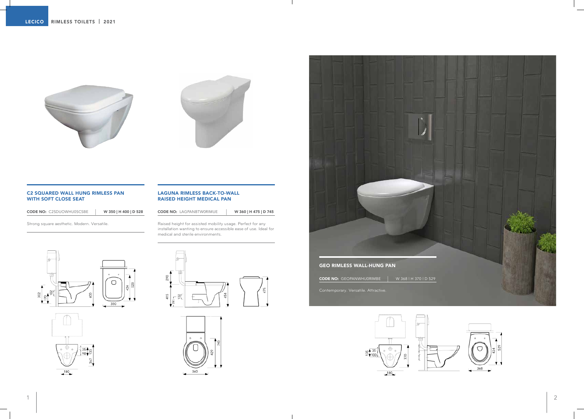### C2 SQUARED WALL HUNG RIMLESS PAN WITH SOFT CLOSE SEAT

CODE NO: C2SDUOWHU0SCSBE <sup>|</sup> W 350 | H 400 | D 528

Strong square aesthetic. Modern. Versatile.

## LAGUNA RIMLESS BACK-TO-WALL RAISED HEIGHT MEDICAL PAN

CODE NO: LAGPANBTW0RIMUE <sup>|</sup> W 360 | H 475 | D 745

Raised height for assisted mobility usage. Perfect for any installation wanting to ensure accessible ease of use. Ideal for medical and sterile environments.



















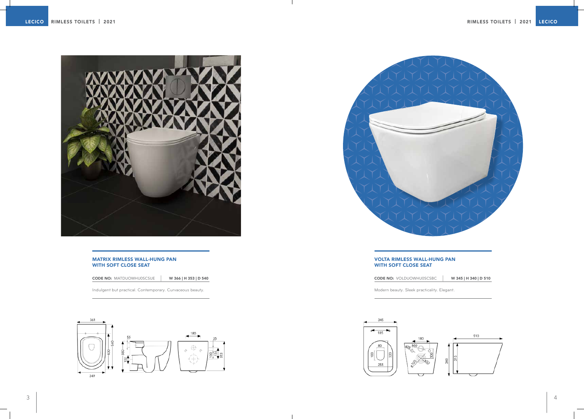# MATRIX RIMLESS WALL-HUNG PAN WITH SOFT CLOSE SEAT

CODE NO: MATDUOWHU0SCSUE <sup>|</sup> W 366 | H 353 | D 540

Indulgent but practical. Contemporary. Curvaceous beauty.





### VOLTA RIMLESS WALL-HUNG PAN WITH SOFT CLOSE SEAT

CODE NO: VOLDUOWHU0SCSBC <sup>|</sup> W 345 | H 340 | D 510

Modern beauty. Sleek practicality. Elegant.



 $\blacksquare$